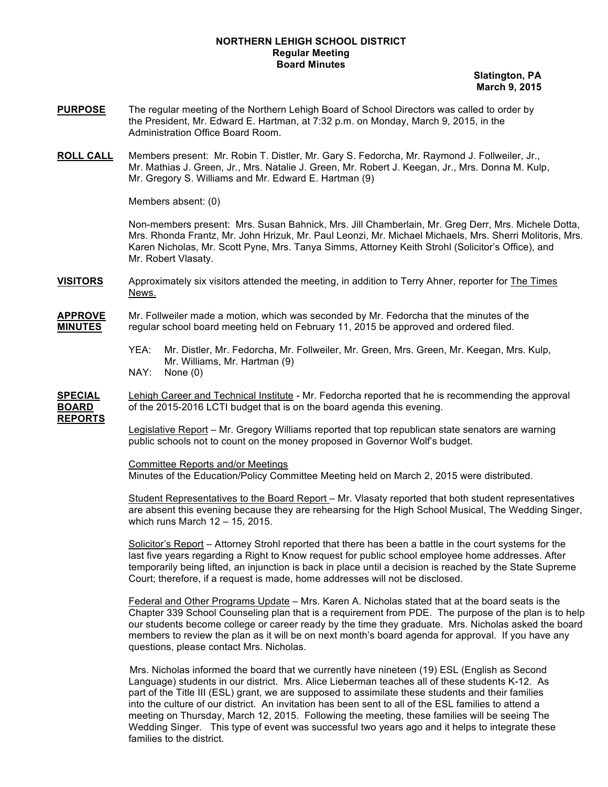## **NORTHERN LEHIGH SCHOOL DISTRICT Regular Meeting Board Minutes**

 **Slatington, PA March 9, 2015**

- **PURPOSE** The regular meeting of the Northern Lehigh Board of School Directors was called to order by the President, Mr. Edward E. Hartman, at 7:32 p.m. on Monday, March 9, 2015, in the Administration Office Board Room.
- **ROLL CALL** Members present: Mr. Robin T. Distler, Mr. Gary S. Fedorcha, Mr. Raymond J. Follweiler, Jr., Mr. Mathias J. Green, Jr., Mrs. Natalie J. Green, Mr. Robert J. Keegan, Jr., Mrs. Donna M. Kulp, Mr. Gregory S. Williams and Mr. Edward E. Hartman (9)

Members absent: (0)

Non-members present: Mrs. Susan Bahnick, Mrs. Jill Chamberlain, Mr. Greg Derr, Mrs. Michele Dotta, Mrs. Rhonda Frantz, Mr. John Hrizuk, Mr. Paul Leonzi, Mr. Michael Michaels, Mrs. Sherri Molitoris, Mrs. Karen Nicholas, Mr. Scott Pyne, Mrs. Tanya Simms, Attorney Keith Strohl (Solicitor's Office), and Mr. Robert Vlasaty.

**VISITORS** Approximately six visitors attended the meeting, in addition to Terry Ahner, reporter for The Times News.

**APPROVE** Mr. Follweiler made a motion, which was seconded by Mr. Fedorcha that the minutes of the **MINUTES** regular school board meeting held on February 11, 2015 be approved and ordered filed.

- YEA: Mr. Distler, Mr. Fedorcha, Mr. Follweiler, Mr. Green, Mrs. Green, Mr. Keegan, Mrs. Kulp, Mr. Williams, Mr. Hartman (9)
- NAY: None (0)

**SPECIAL** Lehigh Career and Technical Institute - Mr. Fedorcha reported that he is recommending the approval **BOARD** of the 2015-2016 LCTI budget that is on the board agenda this evening. **REPORTS**

> Legislative Report – Mr. Gregory Williams reported that top republican state senators are warning public schools not to count on the money proposed in Governor Wolf's budget.

Committee Reports and/or Meetings

Minutes of the Education/Policy Committee Meeting held on March 2, 2015 were distributed.

Student Representatives to the Board Report – Mr. Vlasaty reported that both student representatives are absent this evening because they are rehearsing for the High School Musical, The Wedding Singer, which runs March 12 – 15, 2015.

Solicitor's Report – Attorney Strohl reported that there has been a battle in the court systems for the last five years regarding a Right to Know request for public school employee home addresses. After temporarily being lifted, an injunction is back in place until a decision is reached by the State Supreme Court; therefore, if a request is made, home addresses will not be disclosed.

Federal and Other Programs Update – Mrs. Karen A. Nicholas stated that at the board seats is the Chapter 339 School Counseling plan that is a requirement from PDE. The purpose of the plan is to help our students become college or career ready by the time they graduate. Mrs. Nicholas asked the board members to review the plan as it will be on next month's board agenda for approval. If you have any questions, please contact Mrs. Nicholas.

 Mrs. Nicholas informed the board that we currently have nineteen (19) ESL (English as Second Language) students in our district. Mrs. Alice Lieberman teaches all of these students K-12. As part of the Title III (ESL) grant, we are supposed to assimilate these students and their families into the culture of our district. An invitation has been sent to all of the ESL families to attend a meeting on Thursday, March 12, 2015. Following the meeting, these families will be seeing The Wedding Singer. This type of event was successful two years ago and it helps to integrate these families to the district.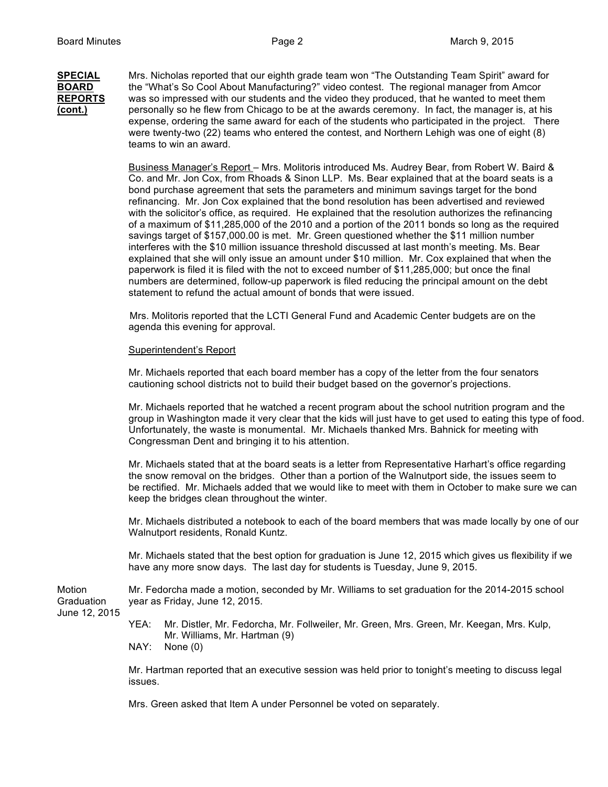## **SPECIAL** Mrs. Nicholas reported that our eighth grade team won "The Outstanding Team Spirit" award for **BOARD** the "What's So Cool About Manufacturing?" video contest. The regional manager from Amcor **REPORTS** was so impressed with our students and the video they produced, that he wanted to meet them **(cont.)** personally so he flew from Chicago to be at the awards ceremony. In fact, the manager is, at his expense, ordering the same award for each of the students who participated in the project. There were twenty-two (22) teams who entered the contest, and Northern Lehigh was one of eight (8) teams to win an award.

Business Manager's Report – Mrs. Molitoris introduced Ms. Audrey Bear, from Robert W. Baird & Co. and Mr. Jon Cox, from Rhoads & Sinon LLP. Ms. Bear explained that at the board seats is a bond purchase agreement that sets the parameters and minimum savings target for the bond refinancing. Mr. Jon Cox explained that the bond resolution has been advertised and reviewed with the solicitor's office, as required. He explained that the resolution authorizes the refinancing of a maximum of \$11,285,000 of the 2010 and a portion of the 2011 bonds so long as the required savings target of \$157,000.00 is met. Mr. Green questioned whether the \$11 million number interferes with the \$10 million issuance threshold discussed at last month's meeting. Ms. Bear explained that she will only issue an amount under \$10 million. Mr. Cox explained that when the paperwork is filed it is filed with the not to exceed number of \$11,285,000; but once the final numbers are determined, follow-up paperwork is filed reducing the principal amount on the debt statement to refund the actual amount of bonds that were issued.

 Mrs. Molitoris reported that the LCTI General Fund and Academic Center budgets are on the agenda this evening for approval.

## Superintendent's Report

Mr. Michaels reported that each board member has a copy of the letter from the four senators cautioning school districts not to build their budget based on the governor's projections.

Mr. Michaels reported that he watched a recent program about the school nutrition program and the group in Washington made it very clear that the kids will just have to get used to eating this type of food. Unfortunately, the waste is monumental. Mr. Michaels thanked Mrs. Bahnick for meeting with Congressman Dent and bringing it to his attention.

Mr. Michaels stated that at the board seats is a letter from Representative Harhart's office regarding the snow removal on the bridges. Other than a portion of the Walnutport side, the issues seem to be rectified. Mr. Michaels added that we would like to meet with them in October to make sure we can keep the bridges clean throughout the winter.

Mr. Michaels distributed a notebook to each of the board members that was made locally by one of our Walnutport residents, Ronald Kuntz.

Mr. Michaels stated that the best option for graduation is June 12, 2015 which gives us flexibility if we have any more snow days. The last day for students is Tuesday, June 9, 2015.

Motion Mr. Fedorcha made a motion, seconded by Mr. Williams to set graduation for the 2014-2015 school Graduation year as Friday, June 12, 2015.

June 12, 2015

YEA: Mr. Distler, Mr. Fedorcha, Mr. Follweiler, Mr. Green, Mrs. Green, Mr. Keegan, Mrs. Kulp, Mr. Williams, Mr. Hartman (9)

NAY: None (0)

Mr. Hartman reported that an executive session was held prior to tonight's meeting to discuss legal issues.

Mrs. Green asked that Item A under Personnel be voted on separately.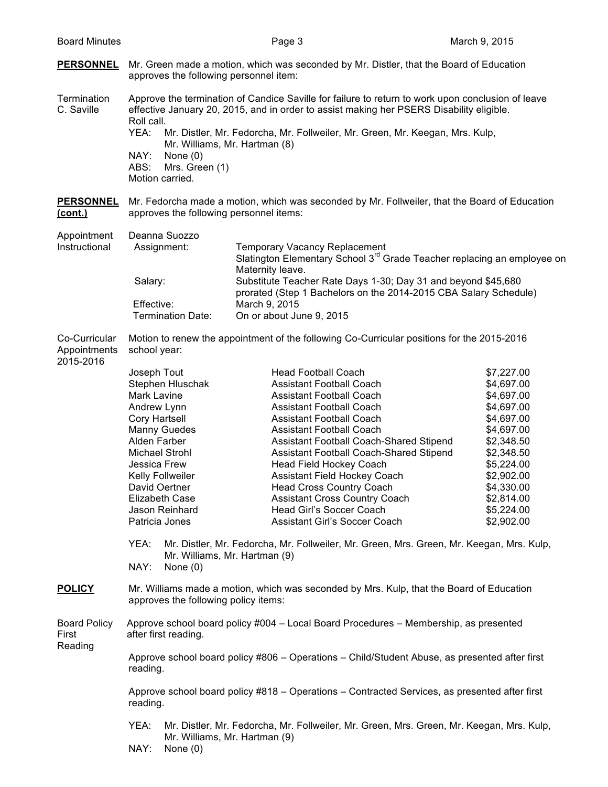| <b>PERSONNEL</b><br>approves the following personnel item:<br>Roll call.<br>YEA:<br>NAY:<br>None $(0)$<br>ABS:<br>Mrs. Green (1)<br>Motion carried.<br><b>PERSONNEL</b><br>approves the following personnel items:<br>Deanna Suozzo<br>Assignment:<br>Salary:<br>Effective:             | Mr. Green made a motion, which was seconded by Mr. Distler, that the Board of Education<br>Approve the termination of Candice Saville for failure to return to work upon conclusion of leave<br>effective January 20, 2015, and in order to assist making her PSERS Disability eligible.<br>Mr. Distler, Mr. Fedorcha, Mr. Follweiler, Mr. Green, Mr. Keegan, Mrs. Kulp,<br>Mr. Williams, Mr. Hartman (8)<br>Mr. Fedorcha made a motion, which was seconded by Mr. Follweiler, that the Board of Education<br><b>Temporary Vacancy Replacement</b><br>Slatington Elementary School 3 <sup>rd</sup> Grade Teacher replacing an employee on<br>Maternity leave.<br>Substitute Teacher Rate Days 1-30; Day 31 and beyond \$45,680 |                                                                                                                                                                                                                                                                                                                                                                                                                                                                                                                                                                                                                                                |
|-----------------------------------------------------------------------------------------------------------------------------------------------------------------------------------------------------------------------------------------------------------------------------------------|--------------------------------------------------------------------------------------------------------------------------------------------------------------------------------------------------------------------------------------------------------------------------------------------------------------------------------------------------------------------------------------------------------------------------------------------------------------------------------------------------------------------------------------------------------------------------------------------------------------------------------------------------------------------------------------------------------------------------------|------------------------------------------------------------------------------------------------------------------------------------------------------------------------------------------------------------------------------------------------------------------------------------------------------------------------------------------------------------------------------------------------------------------------------------------------------------------------------------------------------------------------------------------------------------------------------------------------------------------------------------------------|
|                                                                                                                                                                                                                                                                                         |                                                                                                                                                                                                                                                                                                                                                                                                                                                                                                                                                                                                                                                                                                                                |                                                                                                                                                                                                                                                                                                                                                                                                                                                                                                                                                                                                                                                |
|                                                                                                                                                                                                                                                                                         |                                                                                                                                                                                                                                                                                                                                                                                                                                                                                                                                                                                                                                                                                                                                |                                                                                                                                                                                                                                                                                                                                                                                                                                                                                                                                                                                                                                                |
|                                                                                                                                                                                                                                                                                         |                                                                                                                                                                                                                                                                                                                                                                                                                                                                                                                                                                                                                                                                                                                                |                                                                                                                                                                                                                                                                                                                                                                                                                                                                                                                                                                                                                                                |
| Termination Date:                                                                                                                                                                                                                                                                       | prorated (Step 1 Bachelors on the 2014-2015 CBA Salary Schedule)<br>March 9, 2015<br>On or about June 9, 2015                                                                                                                                                                                                                                                                                                                                                                                                                                                                                                                                                                                                                  |                                                                                                                                                                                                                                                                                                                                                                                                                                                                                                                                                                                                                                                |
| school year:                                                                                                                                                                                                                                                                            |                                                                                                                                                                                                                                                                                                                                                                                                                                                                                                                                                                                                                                                                                                                                |                                                                                                                                                                                                                                                                                                                                                                                                                                                                                                                                                                                                                                                |
| Joseph Tout<br>Stephen Hluschak<br>Mark Lavine<br>Andrew Lynn<br><b>Cory Hartsell</b><br>Manny Guedes<br>Alden Farber<br>Michael Strohl<br>Jessica Frew<br>Kelly Follweiler<br>David Oertner<br><b>Elizabeth Case</b><br>Jason Reinhard<br>Patricia Jones<br>YEA:<br>NAY:<br>None $(0)$ | <b>Head Football Coach</b><br><b>Assistant Football Coach</b><br><b>Assistant Football Coach</b><br><b>Assistant Football Coach</b><br><b>Assistant Football Coach</b><br><b>Assistant Football Coach</b><br>Assistant Football Coach-Shared Stipend<br>Assistant Football Coach-Shared Stipend<br>Head Field Hockey Coach<br>Assistant Field Hockey Coach<br><b>Head Cross Country Coach</b><br><b>Assistant Cross Country Coach</b><br>Head Girl's Soccer Coach<br>Assistant Girl's Soccer Coach                                                                                                                                                                                                                             | \$7,227.00<br>\$4,697.00<br>\$4,697.00<br>\$4,697.00<br>\$4,697.00<br>\$4,697.00<br>\$2,348.50<br>\$2,348.50<br>\$5,224.00<br>\$2,902.00<br>\$4,330.00<br>\$2,814.00<br>\$5,224.00<br>\$2,902.00                                                                                                                                                                                                                                                                                                                                                                                                                                               |
| Mr. Williams made a motion, which was seconded by Mrs. Kulp, that the Board of Education<br>approves the following policy items:                                                                                                                                                        |                                                                                                                                                                                                                                                                                                                                                                                                                                                                                                                                                                                                                                                                                                                                |                                                                                                                                                                                                                                                                                                                                                                                                                                                                                                                                                                                                                                                |
| after first reading.<br>reading.<br>reading.<br>YEA:                                                                                                                                                                                                                                    |                                                                                                                                                                                                                                                                                                                                                                                                                                                                                                                                                                                                                                                                                                                                |                                                                                                                                                                                                                                                                                                                                                                                                                                                                                                                                                                                                                                                |
|                                                                                                                                                                                                                                                                                         | NAY:<br>None $(0)$                                                                                                                                                                                                                                                                                                                                                                                                                                                                                                                                                                                                                                                                                                             | Motion to renew the appointment of the following Co-Curricular positions for the 2015-2016<br>Mr. Distler, Mr. Fedorcha, Mr. Follweiler, Mr. Green, Mrs. Green, Mr. Keegan, Mrs. Kulp,<br>Mr. Williams, Mr. Hartman (9)<br>Approve school board policy #004 - Local Board Procedures - Membership, as presented<br>Approve school board policy #806 - Operations - Child/Student Abuse, as presented after first<br>Approve school board policy #818 - Operations - Contracted Services, as presented after first<br>Mr. Distler, Mr. Fedorcha, Mr. Follweiler, Mr. Green, Mrs. Green, Mr. Keegan, Mrs. Kulp,<br>Mr. Williams, Mr. Hartman (9) |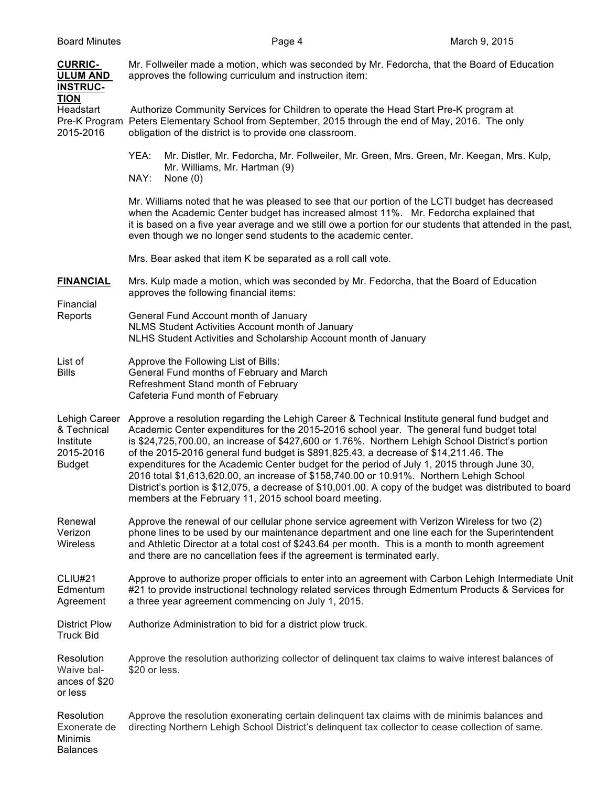| <b>CURRIC-</b><br><b>ULUM AND</b><br><b>INSTRUC-</b>                    | Mr. Follweiler made a motion, which was seconded by Mr. Fedorcha, that the Board of Education<br>approves the following curriculum and instruction item:                                                                                                                                                                                                                                                                                                                                                                                                                                                                                                                                                                                                 |
|-------------------------------------------------------------------------|----------------------------------------------------------------------------------------------------------------------------------------------------------------------------------------------------------------------------------------------------------------------------------------------------------------------------------------------------------------------------------------------------------------------------------------------------------------------------------------------------------------------------------------------------------------------------------------------------------------------------------------------------------------------------------------------------------------------------------------------------------|
| <u>TION</u><br>Headstart<br>2015-2016                                   | Authorize Community Services for Children to operate the Head Start Pre-K program at<br>Pre-K Program Peters Elementary School from September, 2015 through the end of May, 2016. The only<br>obligation of the district is to provide one classroom.                                                                                                                                                                                                                                                                                                                                                                                                                                                                                                    |
|                                                                         | YEA:<br>Mr. Distler, Mr. Fedorcha, Mr. Follweiler, Mr. Green, Mrs. Green, Mr. Keegan, Mrs. Kulp,<br>Mr. Williams, Mr. Hartman (9)<br>NAY:<br>None $(0)$                                                                                                                                                                                                                                                                                                                                                                                                                                                                                                                                                                                                  |
|                                                                         | Mr. Williams noted that he was pleased to see that our portion of the LCTI budget has decreased<br>when the Academic Center budget has increased almost 11%. Mr. Fedorcha explained that<br>it is based on a five year average and we still owe a portion for our students that attended in the past,<br>even though we no longer send students to the academic center.                                                                                                                                                                                                                                                                                                                                                                                  |
|                                                                         | Mrs. Bear asked that item K be separated as a roll call vote.                                                                                                                                                                                                                                                                                                                                                                                                                                                                                                                                                                                                                                                                                            |
| <b>FINANCIAL</b><br>Financial<br>Reports                                | Mrs. Kulp made a motion, which was seconded by Mr. Fedorcha, that the Board of Education<br>approves the following financial items:                                                                                                                                                                                                                                                                                                                                                                                                                                                                                                                                                                                                                      |
|                                                                         | General Fund Account month of January<br>NLMS Student Activities Account month of January<br>NLHS Student Activities and Scholarship Account month of January                                                                                                                                                                                                                                                                                                                                                                                                                                                                                                                                                                                            |
| List of<br>Bills                                                        | Approve the Following List of Bills:<br>General Fund months of February and March<br>Refreshment Stand month of February<br>Cafeteria Fund month of February                                                                                                                                                                                                                                                                                                                                                                                                                                                                                                                                                                                             |
| Lehigh Career<br>& Technical<br>Institute<br>2015-2016<br><b>Budget</b> | Approve a resolution regarding the Lehigh Career & Technical Institute general fund budget and<br>Academic Center expenditures for the 2015-2016 school year. The general fund budget total<br>is \$24,725,700.00, an increase of \$427,600 or 1.76%. Northern Lehigh School District's portion<br>of the 2015-2016 general fund budget is \$891,825.43, a decrease of \$14,211.46. The<br>expenditures for the Academic Center budget for the period of July 1, 2015 through June 30,<br>2016 total \$1,613,620.00, an increase of \$158,740.00 or 10.91%. Northern Lehigh School<br>District's portion is \$12,075, a decrease of \$10,001.00. A copy of the budget was distributed to board<br>members at the February 11, 2015 school board meeting. |
| Renewal<br>Verizon<br><b>Wireless</b>                                   | Approve the renewal of our cellular phone service agreement with Verizon Wireless for two (2)<br>phone lines to be used by our maintenance department and one line each for the Superintendent<br>and Athletic Director at a total cost of \$243.64 per month. This is a month to month agreement<br>and there are no cancellation fees if the agreement is terminated early.                                                                                                                                                                                                                                                                                                                                                                            |
| CLIU#21<br>Edmentum<br>Agreement                                        | Approve to authorize proper officials to enter into an agreement with Carbon Lehigh Intermediate Unit<br>#21 to provide instructional technology related services through Edmentum Products & Services for<br>a three year agreement commencing on July 1, 2015.                                                                                                                                                                                                                                                                                                                                                                                                                                                                                         |
| <b>District Plow</b><br><b>Truck Bid</b>                                | Authorize Administration to bid for a district plow truck.                                                                                                                                                                                                                                                                                                                                                                                                                                                                                                                                                                                                                                                                                               |
| Resolution<br>Waive bal-<br>ances of \$20<br>or less                    | Approve the resolution authorizing collector of delinquent tax claims to waive interest balances of<br>\$20 or less.                                                                                                                                                                                                                                                                                                                                                                                                                                                                                                                                                                                                                                     |
| Resolution<br>Exonerate de<br>Minimis<br><b>Balances</b>                | Approve the resolution exonerating certain delinquent tax claims with de minimis balances and<br>directing Northern Lehigh School District's delinquent tax collector to cease collection of same.                                                                                                                                                                                                                                                                                                                                                                                                                                                                                                                                                       |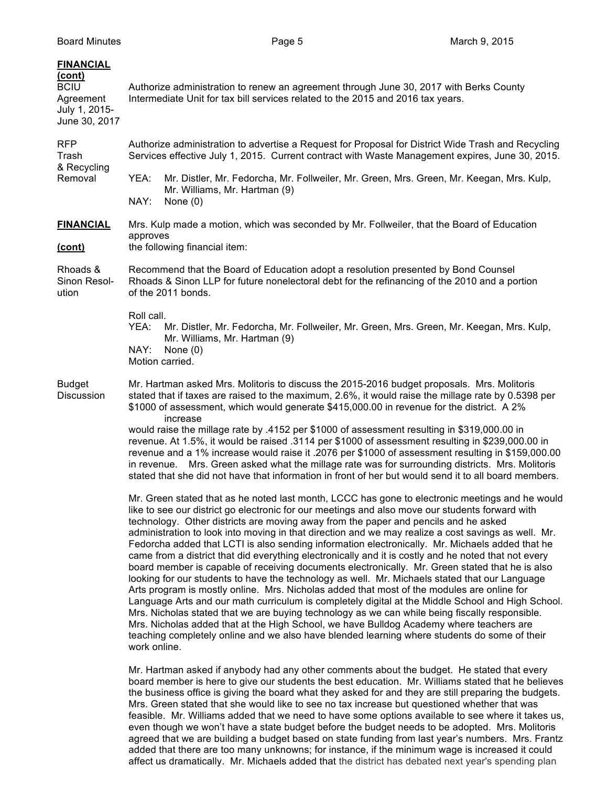| <b>FINANCIAL</b><br><u>(cont)</u><br><b>BCIU</b><br>Agreement<br>July 1, 2015-<br>June 30, 2017 | Authorize administration to renew an agreement through June 30, 2017 with Berks County<br>Intermediate Unit for tax bill services related to the 2015 and 2016 tax years.                                                                                                                                                                                                                                                                                                                                                                                                                                                                                                                                                                                                                                                                                                                                                                                                                                                                                                                                                                                                                                                                                                                                                        |  |
|-------------------------------------------------------------------------------------------------|----------------------------------------------------------------------------------------------------------------------------------------------------------------------------------------------------------------------------------------------------------------------------------------------------------------------------------------------------------------------------------------------------------------------------------------------------------------------------------------------------------------------------------------------------------------------------------------------------------------------------------------------------------------------------------------------------------------------------------------------------------------------------------------------------------------------------------------------------------------------------------------------------------------------------------------------------------------------------------------------------------------------------------------------------------------------------------------------------------------------------------------------------------------------------------------------------------------------------------------------------------------------------------------------------------------------------------|--|
| <b>RFP</b><br>Trash<br>& Recycling<br>Removal                                                   | Authorize administration to advertise a Request for Proposal for District Wide Trash and Recycling<br>Services effective July 1, 2015. Current contract with Waste Management expires, June 30, 2015.                                                                                                                                                                                                                                                                                                                                                                                                                                                                                                                                                                                                                                                                                                                                                                                                                                                                                                                                                                                                                                                                                                                            |  |
|                                                                                                 | Mr. Distler, Mr. Fedorcha, Mr. Follweiler, Mr. Green, Mrs. Green, Mr. Keegan, Mrs. Kulp,<br>YEA:<br>Mr. Williams, Mr. Hartman (9)<br>NAY:<br>None $(0)$                                                                                                                                                                                                                                                                                                                                                                                                                                                                                                                                                                                                                                                                                                                                                                                                                                                                                                                                                                                                                                                                                                                                                                          |  |
| <b>FINANCIAL</b><br>(cont)                                                                      | Mrs. Kulp made a motion, which was seconded by Mr. Follweiler, that the Board of Education<br>approves<br>the following financial item:                                                                                                                                                                                                                                                                                                                                                                                                                                                                                                                                                                                                                                                                                                                                                                                                                                                                                                                                                                                                                                                                                                                                                                                          |  |
| Rhoads &<br>Sinon Resol-<br>ution                                                               | Recommend that the Board of Education adopt a resolution presented by Bond Counsel<br>Rhoads & Sinon LLP for future nonelectoral debt for the refinancing of the 2010 and a portion<br>of the 2011 bonds.                                                                                                                                                                                                                                                                                                                                                                                                                                                                                                                                                                                                                                                                                                                                                                                                                                                                                                                                                                                                                                                                                                                        |  |
|                                                                                                 | Roll call.<br>Mr. Distler, Mr. Fedorcha, Mr. Follweiler, Mr. Green, Mrs. Green, Mr. Keegan, Mrs. Kulp,<br>YEA:<br>Mr. Williams, Mr. Hartman (9)<br>NAY:<br>None $(0)$<br>Motion carried.                                                                                                                                                                                                                                                                                                                                                                                                                                                                                                                                                                                                                                                                                                                                                                                                                                                                                                                                                                                                                                                                                                                                         |  |
| <b>Budget</b><br>Discussion                                                                     | Mr. Hartman asked Mrs. Molitoris to discuss the 2015-2016 budget proposals. Mrs. Molitoris<br>stated that if taxes are raised to the maximum, 2.6%, it would raise the millage rate by 0.5398 per<br>\$1000 of assessment, which would generate \$415,000.00 in revenue for the district. A 2%<br>increase<br>would raise the millage rate by .4152 per \$1000 of assessment resulting in \$319,000.00 in<br>revenue. At 1.5%, it would be raised .3114 per \$1000 of assessment resulting in \$239,000.00 in<br>revenue and a 1% increase would raise it .2076 per \$1000 of assessment resulting in \$159,000.00<br>Mrs. Green asked what the millage rate was for surrounding districts. Mrs. Molitoris<br>in revenue.<br>stated that she did not have that information in front of her but would send it to all board members.                                                                                                                                                                                                                                                                                                                                                                                                                                                                                               |  |
|                                                                                                 | Mr. Green stated that as he noted last month, LCCC has gone to electronic meetings and he would<br>like to see our district go electronic for our meetings and also move our students forward with<br>technology. Other districts are moving away from the paper and pencils and he asked<br>administration to look into moving in that direction and we may realize a cost savings as well. Mr.<br>Fedorcha added that LCTI is also sending information electronically. Mr. Michaels added that he<br>came from a district that did everything electronically and it is costly and he noted that not every<br>board member is capable of receiving documents electronically. Mr. Green stated that he is also<br>looking for our students to have the technology as well. Mr. Michaels stated that our Language<br>Arts program is mostly online. Mrs. Nicholas added that most of the modules are online for<br>Language Arts and our math curriculum is completely digital at the Middle School and High School.<br>Mrs. Nicholas stated that we are buying technology as we can while being fiscally responsible.<br>Mrs. Nicholas added that at the High School, we have Bulldog Academy where teachers are<br>teaching completely online and we also have blended learning where students do some of their<br>work online. |  |
|                                                                                                 | Mr. Hartman asked if anybody had any other comments about the budget. He stated that every<br>board member is here to give our students the best education. Mr. Williams stated that he believes<br>the business office is giving the board what they asked for and they are still preparing the budgets.<br>Mrs. Green stated that she would like to see no tax increase but questioned whether that was<br>feasible. Mr. Williams added that we need to have some options available to see where it takes us,<br>even though we won't have a state budget before the budget needs to be adopted. Mrs. Molitoris<br>agreed that we are building a budget based on state funding from last year's numbers. Mrs. Frantz                                                                                                                                                                                                                                                                                                                                                                                                                                                                                                                                                                                                           |  |

added that there are too many unknowns; for instance, if the minimum wage is increased it could affect us dramatically. Mr. Michaels added that the district has debated next year's spending plan